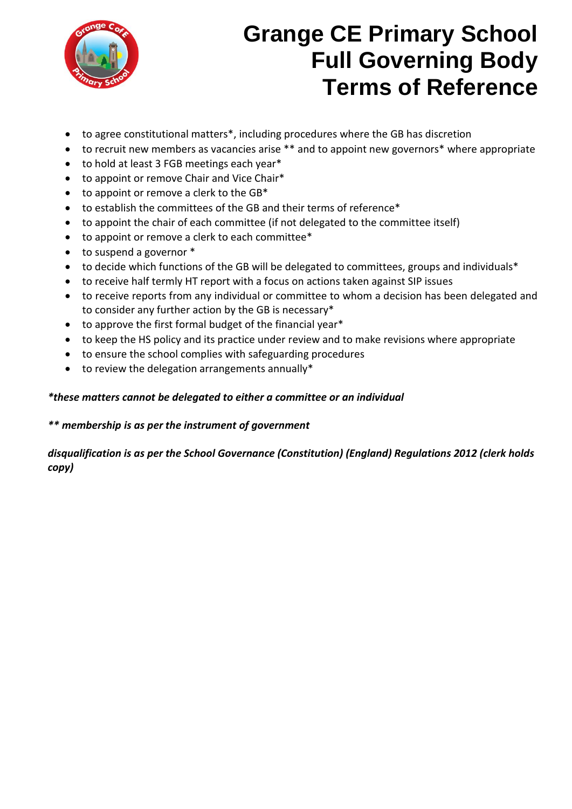

# **Grange CE Primary School Full Governing Body Terms of Reference**

- to agree constitutional matters\*, including procedures where the GB has discretion
- to recruit new members as vacancies arise \*\* and to appoint new governors\* where appropriate
- to hold at least 3 FGB meetings each year\*
- to appoint or remove Chair and Vice Chair\*
- $\bullet$  to appoint or remove a clerk to the GB\*
- to establish the committees of the GB and their terms of reference\*
- to appoint the chair of each committee (if not delegated to the committee itself)
- to appoint or remove a clerk to each committee\*
- to suspend a governor  $*$
- to decide which functions of the GB will be delegated to committees, groups and individuals\*
- to receive half termly HT report with a focus on actions taken against SIP issues
- to receive reports from any individual or committee to whom a decision has been delegated and to consider any further action by the GB is necessary\*
- to approve the first formal budget of the financial year\*
- to keep the HS policy and its practice under review and to make revisions where appropriate
- to ensure the school complies with safeguarding procedures
- to review the delegation arrangements annually\*

### *\*these matters cannot be delegated to either a committee or an individual*

### *\*\* membership is as per the instrument of government*

### *disqualification is as per the School Governance (Constitution) (England) Regulations 2012 (clerk holds copy)*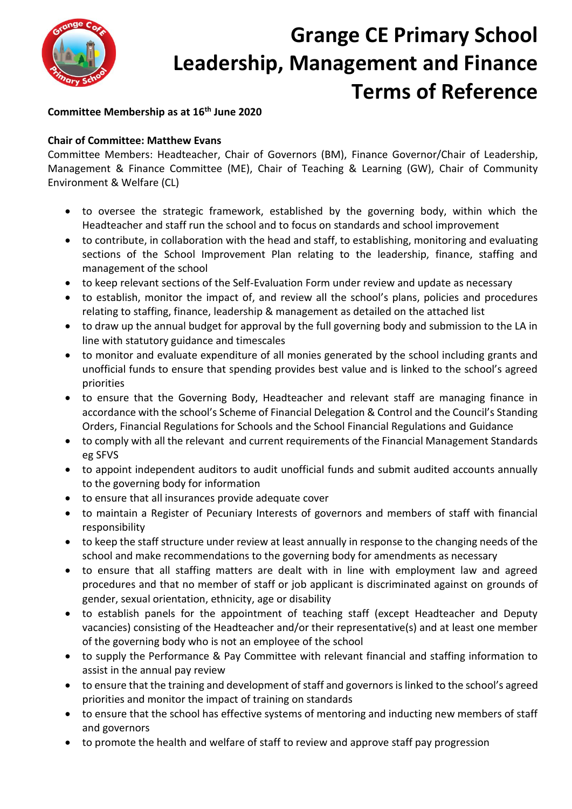

# **Grange CE Primary School Leadership, Management and Finance Terms of Reference**

### **Committee Membership as at 16th June 2020**

### **Chair of Committee: Matthew Evans**

Committee Members: Headteacher, Chair of Governors (BM), Finance Governor/Chair of Leadership, Management & Finance Committee (ME), Chair of Teaching & Learning (GW), Chair of Community Environment & Welfare (CL)

- to oversee the strategic framework, established by the governing body, within which the Headteacher and staff run the school and to focus on standards and school improvement
- to contribute, in collaboration with the head and staff, to establishing, monitoring and evaluating sections of the School Improvement Plan relating to the leadership, finance, staffing and management of the school
- to keep relevant sections of the Self-Evaluation Form under review and update as necessary
- to establish, monitor the impact of, and review all the school's plans, policies and procedures relating to staffing, finance, leadership & management as detailed on the attached list
- to draw up the annual budget for approval by the full governing body and submission to the LA in line with statutory guidance and timescales
- to monitor and evaluate expenditure of all monies generated by the school including grants and unofficial funds to ensure that spending provides best value and is linked to the school's agreed priorities
- to ensure that the Governing Body, Headteacher and relevant staff are managing finance in accordance with the school's Scheme of Financial Delegation & Control and the Council's Standing Orders, Financial Regulations for Schools and the School Financial Regulations and Guidance
- to comply with all the relevant and current requirements of the Financial Management Standards eg SFVS
- to appoint independent auditors to audit unofficial funds and submit audited accounts annually to the governing body for information
- to ensure that all insurances provide adequate cover
- to maintain a Register of Pecuniary Interests of governors and members of staff with financial responsibility
- to keep the staff structure under review at least annually in response to the changing needs of the school and make recommendations to the governing body for amendments as necessary
- to ensure that all staffing matters are dealt with in line with employment law and agreed procedures and that no member of staff or job applicant is discriminated against on grounds of gender, sexual orientation, ethnicity, age or disability
- to establish panels for the appointment of teaching staff (except Headteacher and Deputy vacancies) consisting of the Headteacher and/or their representative(s) and at least one member of the governing body who is not an employee of the school
- to supply the Performance & Pay Committee with relevant financial and staffing information to assist in the annual pay review
- to ensure that the training and development of staff and governors is linked to the school's agreed priorities and monitor the impact of training on standards
- to ensure that the school has effective systems of mentoring and inducting new members of staff and governors
- to promote the health and welfare of staff to review and approve staff pay progression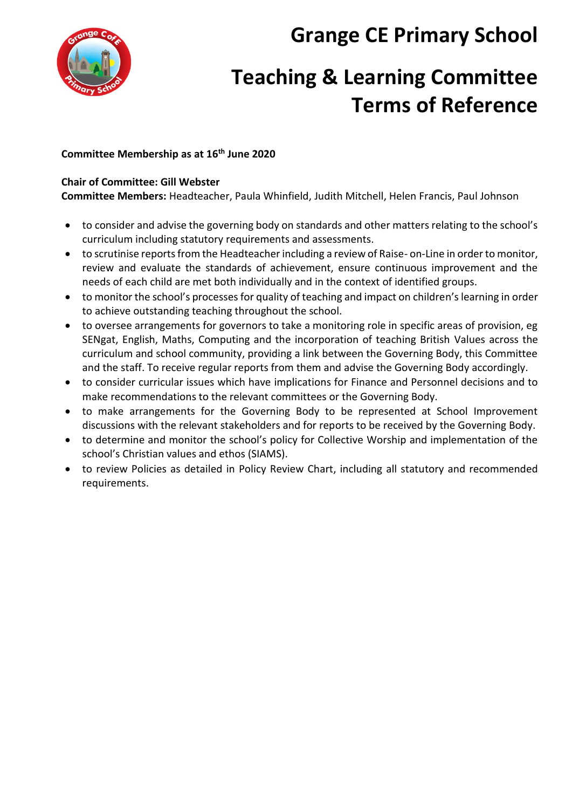**Grange CE Primary School**



## **Teaching & Learning Committee Terms of Reference**

### **Committee Membership as at 16th June 2020**

### **Chair of Committee: Gill Webster**

**Committee Members:** Headteacher, Paula Whinfield, Judith Mitchell, Helen Francis, Paul Johnson

- to consider and advise the governing body on standards and other matters relating to the school's curriculum including statutory requirements and assessments.
- to scrutinise reports from the Headteacher including a review of Raise- on-Line in order to monitor, review and evaluate the standards of achievement, ensure continuous improvement and the needs of each child are met both individually and in the context of identified groups.
- to monitor the school's processes for quality of teaching and impact on children's learning in order to achieve outstanding teaching throughout the school.
- to oversee arrangements for governors to take a monitoring role in specific areas of provision, eg SENgat, English, Maths, Computing and the incorporation of teaching British Values across the curriculum and school community, providing a link between the Governing Body, this Committee and the staff. To receive regular reports from them and advise the Governing Body accordingly.
- to consider curricular issues which have implications for Finance and Personnel decisions and to make recommendations to the relevant committees or the Governing Body.
- to make arrangements for the Governing Body to be represented at School Improvement discussions with the relevant stakeholders and for reports to be received by the Governing Body.
- to determine and monitor the school's policy for Collective Worship and implementation of the school's Christian values and ethos (SIAMS).
- to review Policies as detailed in Policy Review Chart, including all statutory and recommended requirements.